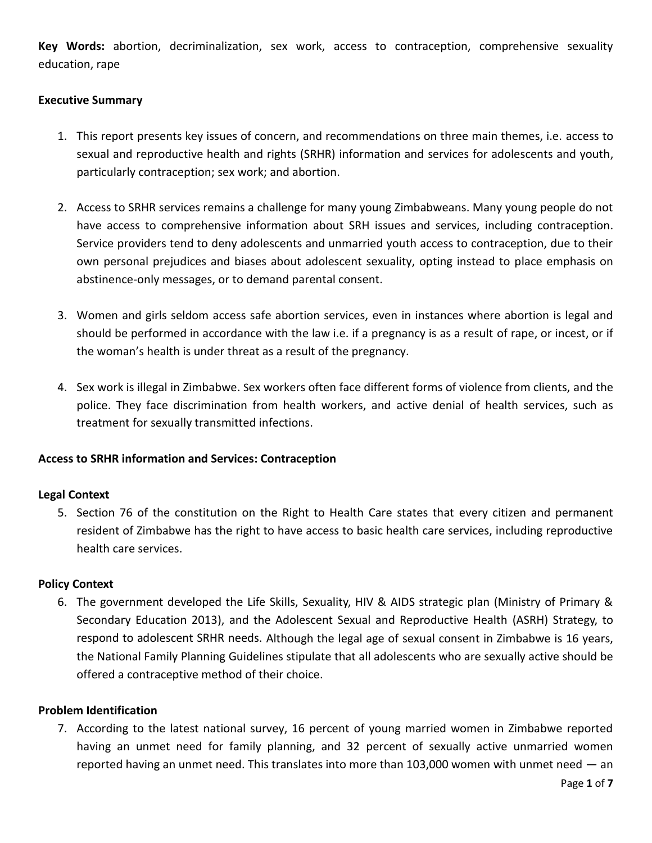**Key Words:** abortion, decriminalization, sex work, access to contraception, comprehensive sexuality education, rape

## **Executive Summary**

- 1. This report presents key issues of concern, and recommendations on three main themes, i.e. access to sexual and reproductive health and rights (SRHR) information and services for adolescents and youth, particularly contraception; sex work; and abortion.
- 2. Access to SRHR services remains a challenge for many young Zimbabweans. Many young people do not have access to comprehensive information about SRH issues and services, including contraception. Service providers tend to deny adolescents and unmarried youth access to contraception, due to their own personal prejudices and biases about adolescent sexuality, opting instead to place emphasis on abstinence-only messages, or to demand parental consent.
- 3. Women and girls seldom access safe abortion services, even in instances where abortion is legal and should be performed in accordance with the law i.e. if a pregnancy is as a result of rape, or incest, or if the woman's health is under threat as a result of the pregnancy.
- 4. Sex work is illegal in Zimbabwe. Sex workers often face different forms of violence from clients, and the police. They face discrimination from health workers, and active denial of health services, such as treatment for sexually transmitted infections.

## **Access to SRHR information and Services: Contraception**

#### **Legal Context**

5. Section 76 of the constitution on the Right to Health Care states that every citizen and permanent resident of Zimbabwe has the right to have access to basic health care services, including reproductive health care services.

#### **Policy Context**

6. The government developed the Life Skills, Sexuality, HIV & AIDS strategic plan (Ministry of Primary & Secondary Education 2013), and the Adolescent Sexual and Reproductive Health (ASRH) Strategy, to respond to adolescent SRHR needs. Although the legal age of sexual consent in Zimbabwe is 16 years, the National Family Planning Guidelines stipulate that all adolescents who are sexually active should be offered a contraceptive method of their choice.

#### **Problem Identification**

7. According to the latest national survey, 16 percent of young married women in Zimbabwe reported having an unmet need for family planning, and 32 percent of sexually active unmarried women reported having an unmet need. This translates into more than  $103,000$  women with unmet need  $-$  an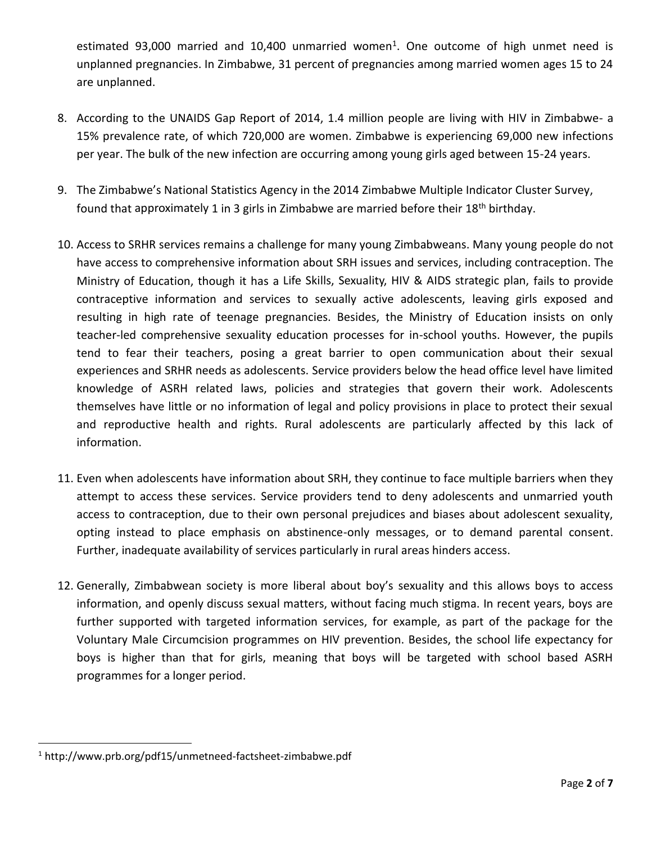estimated 93,000 married and 10,400 unmarried women<sup>1</sup>. One outcome of high unmet need is unplanned pregnancies. In Zimbabwe, 31 percent of pregnancies among married women ages 15 to 24 are unplanned.

- 8. According to the UNAIDS Gap Report of 2014, 1.4 million people are living with HIV in Zimbabwe- a 15% prevalence rate, of which 720,000 are women. Zimbabwe is experiencing 69,000 new infections per year. The bulk of the new infection are occurring among young girls aged between 15-24 years.
- 9. The Zimbabwe's National Statistics Agency in the 2014 [Zimbabwe Multiple Indicator Cluster Survey,](http://www.unicef.org/zimbabwe/Zim_MICS5_Final_Report_FINAL.pdf) found that approximately 1 in 3 girls in Zimbabwe are married before their 18<sup>th</sup> birthday.
- 10. Access to SRHR services remains a challenge for many young Zimbabweans. Many young people do not have access to comprehensive information about SRH issues and services, including contraception. The Ministry of Education, though it has a Life Skills, Sexuality, HIV & AIDS strategic plan, fails to provide contraceptive information and services to sexually active adolescents, leaving girls exposed and resulting in high rate of teenage pregnancies. Besides, the Ministry of Education insists on only teacher-led comprehensive sexuality education processes for in-school youths. However, the pupils tend to fear their teachers, posing a great barrier to open communication about their sexual experiences and SRHR needs as adolescents. Service providers below the head office level have limited knowledge of ASRH related laws, policies and strategies that govern their work. Adolescents themselves have little or no information of legal and policy provisions in place to protect their sexual and reproductive health and rights. Rural adolescents are particularly affected by this lack of information.
- 11. Even when adolescents have information about SRH, they continue to face multiple barriers when they attempt to access these services. Service providers tend to deny adolescents and unmarried youth access to contraception, due to their own personal prejudices and biases about adolescent sexuality, opting instead to place emphasis on abstinence-only messages, or to demand parental consent. Further, inadequate availability of services particularly in rural areas hinders access.
- 12. Generally, Zimbabwean society is more liberal about boy's sexuality and this allows boys to access information, and openly discuss sexual matters, without facing much stigma. In recent years, boys are further supported with targeted information services, for example, as part of the package for the Voluntary Male Circumcision programmes on HIV prevention. Besides, the school life expectancy for boys is higher than that for girls, meaning that boys will be targeted with school based ASRH programmes for a longer period.

 $\overline{\phantom{a}}$ 

<sup>1</sup> http://www.prb.org/pdf15/unmetneed-factsheet-zimbabwe.pdf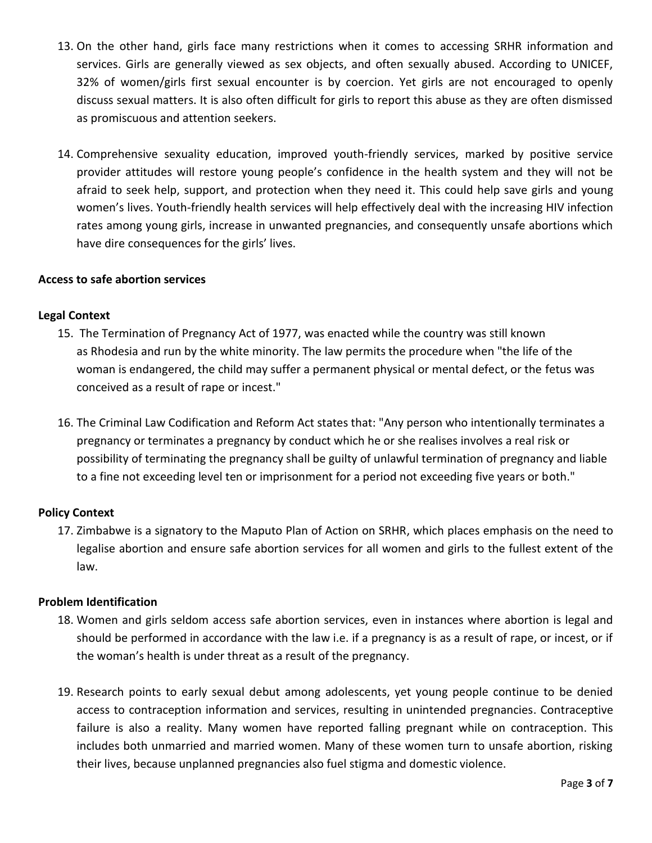- 13. On the other hand, girls face many restrictions when it comes to accessing SRHR information and services. Girls are generally viewed as sex objects, and often sexually abused. According to UNICEF, 32% of women/girls first sexual encounter is by coercion. Yet girls are not encouraged to openly discuss sexual matters. It is also often difficult for girls to report this abuse as they are often dismissed as promiscuous and attention seekers.
- 14. Comprehensive sexuality education, improved youth-friendly services, marked by positive service provider attitudes will restore young people's confidence in the health system and they will not be afraid to seek help, support, and protection when they need it. This could help save girls and young women's lives. Youth-friendly health services will help effectively deal with the increasing HIV infection rates among young girls, increase in unwanted pregnancies, and consequently unsafe abortions which have dire consequences for the girls' lives.

### **Access to safe abortion services**

### **Legal Context**

- 15. The Termination of Pregnancy Act of 1977, was enacted while the country was still known as [Rhodesia](https://en.wikipedia.org/wiki/Rhodesia) and run by the [white minority.](https://en.wikipedia.org/wiki/Whites_in_Zimbabwe) The law permits the procedure when "the life of the woman is endangered, the child may suffer a permanent physical or mental defect, or the [fetus](https://en.wikipedia.org/wiki/Fetus) was conceived as a result of [rape](https://en.wikipedia.org/wiki/Rape) or [incest.](https://en.wikipedia.org/wiki/Incest)"
- 16. The Criminal Law Codification and Reform Act states that: "Any person who intentionally terminates a pregnancy or terminates a pregnancy by conduct which he or she realises involves a real risk or possibility of terminating the pregnancy shall be guilty of unlawful termination of pregnancy and liable to a fine not exceeding level ten or imprisonment for a period not exceeding five years or both."

## **Policy Context**

17. Zimbabwe is a signatory to the Maputo Plan of Action on SRHR, which places emphasis on the need to legalise abortion and ensure safe abortion services for all women and girls to the fullest extent of the law.

## **Problem Identification**

- 18. Women and girls seldom access safe abortion services, even in instances where abortion is legal and should be performed in accordance with the law i.e. if a pregnancy is as a result of rape, or incest, or if the woman's health is under threat as a result of the pregnancy.
- 19. Research points to early sexual debut among adolescents, yet young people continue to be denied access to contraception information and services, resulting in unintended pregnancies. Contraceptive failure is also a reality. Many women have reported falling pregnant while on contraception. This includes both unmarried and married women. Many of these women turn to unsafe abortion, risking their lives, because unplanned pregnancies also fuel stigma and domestic violence.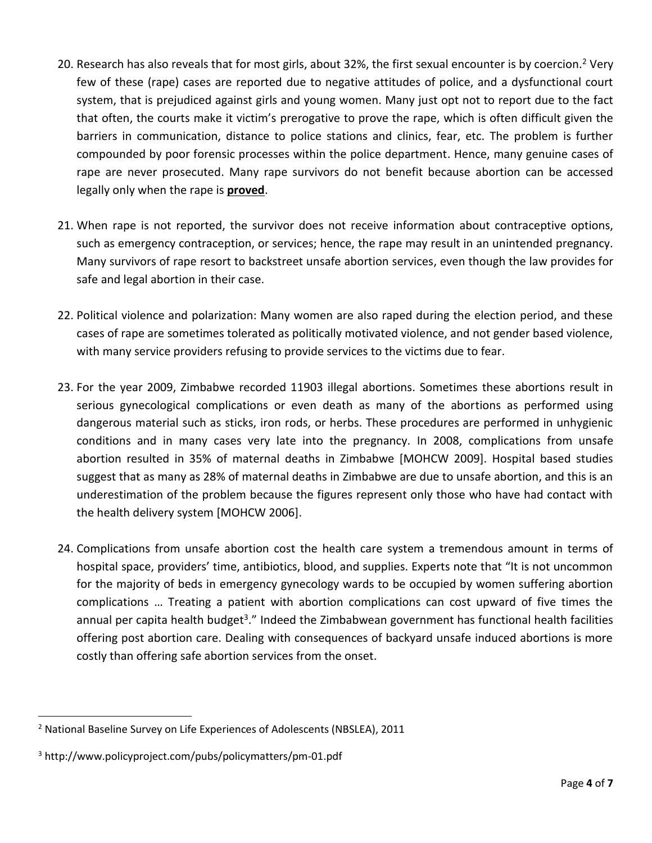- 20. Research has also reveals that for most girls, about 32%, the first sexual encounter is by coercion.<sup>2</sup> Very few of these (rape) cases are reported due to negative attitudes of police, and a dysfunctional court system, that is prejudiced against girls and young women. Many just opt not to report due to the fact that often, the courts make it victim's prerogative to prove the rape, which is often difficult given the barriers in communication, distance to police stations and clinics, fear, etc. The problem is further compounded by poor forensic processes within the police department. Hence, many genuine cases of rape are never prosecuted. Many rape survivors do not benefit because abortion can be accessed legally only when the rape is **proved**.
- 21. When rape is not reported, the survivor does not receive information about contraceptive options, such as emergency contraception, or services; hence, the rape may result in an unintended pregnancy. Many survivors of rape resort to backstreet unsafe abortion services, even though the law provides for safe and legal abortion in their case.
- 22. Political violence and polarization: Many women are also raped during the election period, and these cases of rape are sometimes tolerated as politically motivated violence, and not gender based violence, with many service providers refusing to provide services to the victims due to fear.
- 23. For the year 2009, Zimbabwe recorded 11903 illegal abortions. Sometimes these abortions result in serious gynecological complications or even death as many of the abortions as performed using dangerous material such as sticks, iron rods, or herbs. These procedures are performed in unhygienic conditions and in many cases very late into the pregnancy. In 2008, complications from unsafe abortion resulted in 35% of maternal deaths in Zimbabwe [MOHCW 2009]. Hospital based studies suggest that as many as 28% of maternal deaths in Zimbabwe are due to unsafe abortion, and this is an underestimation of the problem because the figures represent only those who have had contact with the health delivery system [MOHCW 2006].
- 24. Complications from unsafe abortion cost the health care system a tremendous amount in terms of hospital space, providers' time, antibiotics, blood, and supplies. Experts note that "It is not uncommon for the majority of beds in emergency gynecology wards to be occupied by women suffering abortion complications … Treating a patient with abortion complications can cost upward of five times the annual per capita health budget<sup>3</sup>." Indeed the Zimbabwean government has functional health facilities offering post abortion care. Dealing with consequences of backyard unsafe induced abortions is more costly than offering safe abortion services from the onset.

 $\overline{\phantom{a}}$ <sup>2</sup> National Baseline Survey on Life Experiences of Adolescents (NBSLEA), 2011

<sup>3</sup> http://www.policyproject.com/pubs/policymatters/pm-01.pdf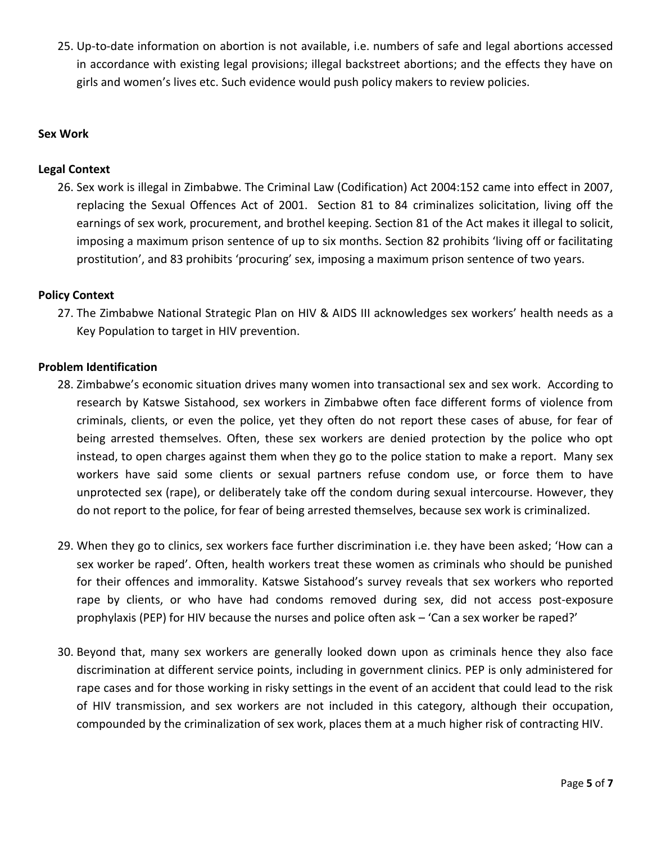25. Up-to-date information on abortion is not available, i.e. numbers of safe and legal abortions accessed in accordance with existing legal provisions; illegal backstreet abortions; and the effects they have on girls and women's lives etc. Such evidence would push policy makers to review policies.

### **Sex Work**

### **Legal Context**

26. Sex work is illegal in Zimbabwe. The Criminal Law (Codification) Act 2004:152 came into effect in 2007, replacing the Sexual Offences Act of 2001. Section 81 to 84 criminalizes solicitation, living off the earnings of sex work, procurement, and brothel keeping. Section 81 of the Act makes it illegal to solicit, imposing a maximum prison sentence of up to six months. Section 82 prohibits 'living off or facilitating prostitution', and 83 prohibits 'procuring' sex, imposing a maximum prison sentence of two years.

### **Policy Context**

27. The Zimbabwe National Strategic Plan on HIV & AIDS III acknowledges sex workers' health needs as a Key Population to target in HIV prevention.

#### **Problem Identification**

- 28. Zimbabwe's economic situation drives many women into transactional sex and sex work. According to research by Katswe Sistahood, sex workers in Zimbabwe often face different forms of violence from criminals, clients, or even the police, yet they often do not report these cases of abuse, for fear of being arrested themselves. Often, these sex workers are denied protection by the police who opt instead, to open charges against them when they go to the police station to make a report. Many sex workers have said some clients or sexual partners refuse condom use, or force them to have unprotected sex (rape), or deliberately take off the condom during sexual intercourse. However, they do not report to the police, for fear of being arrested themselves, because sex work is criminalized.
- 29. When they go to clinics, sex workers face further discrimination i.e. they have been asked; 'How can a sex worker be raped'. Often, health workers treat these women as criminals who should be punished for their offences and immorality. Katswe Sistahood's survey reveals that sex workers who reported rape by clients, or who have had condoms removed during sex, did not access post-exposure prophylaxis (PEP) for HIV because the nurses and police often ask – 'Can a sex worker be raped?'
- 30. Beyond that, many sex workers are generally looked down upon as criminals hence they also face discrimination at different service points, including in government clinics. PEP is only administered for rape cases and for those working in risky settings in the event of an accident that could lead to the risk of HIV transmission, and sex workers are not included in this category, although their occupation, compounded by the criminalization of sex work, places them at a much higher risk of contracting HIV.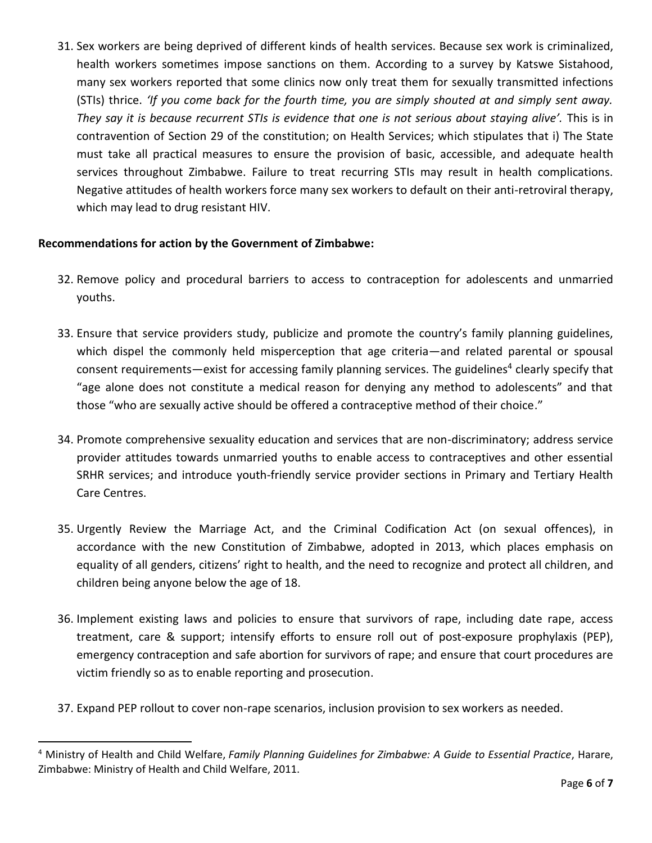31. Sex workers are being deprived of different kinds of health services. Because sex work is criminalized, health workers sometimes impose sanctions on them. According to a survey by Katswe Sistahood, many sex workers reported that some clinics now only treat them for sexually transmitted infections (STIs) thrice. *'If you come back for the fourth time, you are simply shouted at and simply sent away. They say it is because recurrent STIs is evidence that one is not serious about staying alive'.* This is in contravention of Section 29 of the constitution; on Health Services; which stipulates that i) The State must take all practical measures to ensure the provision of basic, accessible, and adequate health services throughout Zimbabwe. Failure to treat recurring STIs may result in health complications. Negative attitudes of health workers force many sex workers to default on their anti-retroviral therapy, which may lead to drug resistant HIV.

# **Recommendations for action by the Government of Zimbabwe:**

 $\overline{a}$ 

- 32. Remove policy and procedural barriers to access to contraception for adolescents and unmarried youths.
- 33. Ensure that service providers study, publicize and promote the country's family planning guidelines, which dispel the commonly held misperception that age criteria—and related parental or spousal consent requirements—exist for accessing family planning services. The guidelines<sup>4</sup> clearly specify that "age alone does not constitute a medical reason for denying any method to adolescents" and that those "who are sexually active should be offered a contraceptive method of their choice."
- 34. Promote comprehensive sexuality education and services that are non-discriminatory; address service provider attitudes towards unmarried youths to enable access to contraceptives and other essential SRHR services; and introduce youth-friendly service provider sections in Primary and Tertiary Health Care Centres.
- 35. Urgently Review the Marriage Act, and the Criminal Codification Act (on sexual offences), in accordance with the new Constitution of Zimbabwe, adopted in 2013, which places emphasis on equality of all genders, citizens' right to health, and the need to recognize and protect all children, and children being anyone below the age of 18.
- 36. Implement existing laws and policies to ensure that survivors of rape, including date rape, access treatment, care & support; intensify efforts to ensure roll out of post-exposure prophylaxis (PEP), emergency contraception and safe abortion for survivors of rape; and ensure that court procedures are victim friendly so as to enable reporting and prosecution.
- 37. Expand PEP rollout to cover non-rape scenarios, inclusion provision to sex workers as needed.

<sup>4</sup> Ministry of Health and Child Welfare, *Family Planning Guidelines for Zimbabwe: A Guide to Essential Practice*, Harare, Zimbabwe: Ministry of Health and Child Welfare, 2011.